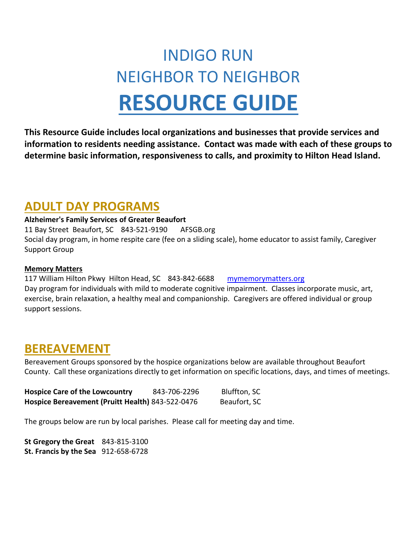# INDIGO RUN NEIGHBOR TO NEIGHBOR **RESOURCE GUIDE**

**This Resource Guide includes local organizations and businesses that provide services and information to residents needing assistance. Contact was made with each of these groups to determine basic information, responsiveness to calls, and proximity to Hilton Head Island.**

### **ADULT DAY PROGRAMS**

#### **Alzheimer's Family Services of Greater Beaufort**

11 Bay Street Beaufort, SC 843-521-9190 AFSGB.org Social day program, in home respite care (fee on a sliding scale), home educator to assist family, Caregiver Support Group

#### **Memory Matters**

117 William Hilton Pkwy Hilton Head, SC 843-842-6688 [mymemorymatters.org](http://mymemorymatters.org/) Day program for individuals with mild to moderate cognitive impairment. Classes incorporate music, art, exercise, brain relaxation, a healthy meal and companionship. Caregivers are offered individual or group support sessions.

### **BEREAVEMENT**

Bereavement Groups sponsored by the hospice organizations below are available throughout Beaufort County. Call these organizations directly to get information on specific locations, days, and times of meetings.

| <b>Hospice Care of the Lowcountry</b>            | 843-706-2296 | Bluffton, SC |
|--------------------------------------------------|--------------|--------------|
| Hospice Bereavement (Pruitt Health) 843-522-0476 |              | Beaufort, SC |

The groups below are run by local parishes. Please call for meeting day and time.

**St Gregory the Great** 843-815-3100 **St. Francis by the Sea** 912-658-6728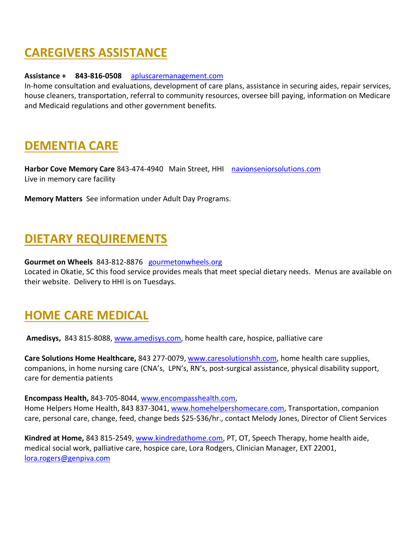# **CAREGIVERS ASSISTANCE**

#### **Assistance + 843-816-0508** [apluscaremanagement.com](http://apluscaremanagement.com/)

In-home consultation and evaluations, development of care plans, assistance in securing aides, repair services, house cleaners, transportation, referral to community resources, oversee bill paying, information on Medicare and Medicaid regulations and other government benefits.

### **DEMENTIA CARE**

**Harbor Cove Memory Care** 843-474-4940 Main Street, HHI [navionseniorsolutions.com](http://navionseniorsolutions.com/) Live in memory care facility

**Memory Matters** See information under Adult Day Programs.

### **DIETARY REQUIREMENTS**

#### **Gourmet on Wheels** 843-812-8876 [gourmetonwheels.org](http://gourmetonwheels.org/)

Located in Okatie, SC this food service provides meals that meet special dietary needs. Menus are available on their website. Delivery to HHI is on Tuesdays.

### **HOME CARE MEDICAL**

**Amedisys,** 843 815-8088, [www.amedisys.com,](http://www.amedisys.com/) home health care, hospice, palliative care

**Care Solutions Home Healthcare,** 843 277-0079, [www.caresolutionshh.com,](http://www.caresolutionshh.com/) home health care supplies, companions, in home nursing care (CNA's, LPN's, RN's, post-surgical assistance, physical disability support, care for dementia patients

**Encompass Health,** 843-705-8044, [www.encompasshealth.com,](http://www.encompasshealth.com/)

Home Helpers Home Health, 843 837-3041, [www.homehelpershomecare.com,](http://www.homehelpershomecare.com/) Transportation, companion care, personal care, change, feed, change beds \$25-\$36/hr., contact Melody Jones, Director of Client Services

**Kindred at Home,** 843 815-2549, [www.kindredathome.com,](http://www.kindredathome.com/) PT, OT, Speech Therapy, home health aide, medical social work, palliative care, hospice care, Lora Rodgers, Clinician Manager, EXT 22001, [lora.rogers@genpiva.com](mailto:lora.rogers@genpiva.com)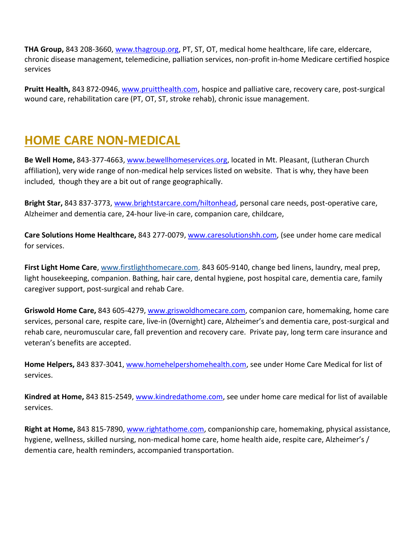**THA Group,** 843 208-3660, [www.thagroup.org,](http://www.thagroup.org/) PT, ST, OT, medical home healthcare, life care, eldercare, chronic disease management, telemedicine, palliation services, non-profit in-home Medicare certified hospice services

**Pruitt Health,** 843 872-0946, [www.pruitthealth.com,](http://www.pruitthealth.com/) hospice and palliative care, recovery care, post-surgical wound care, rehabilitation care (PT, OT, ST, stroke rehab), chronic issue management.

### **HOME CARE NON-MEDICAL**

**Be Well Home,** 843-377-4663, [www.bewellhomeservices.org,](http://www.bewellhomeservices.org/) located in Mt. Pleasant, (Lutheran Church affiliation), very wide range of non-medical help services listed on website. That is why, they have been included, though they are a bit out of range geographically.

**Bright Star,** 843 837-3773, [www.brightstarcare.com/hiltonhead,](http://www.brightstarcare.com/hiltonhead) personal care needs, post-operative care, Alzheimer and dementia care, 24-hour live-in care, companion care, childcare,

**Care Solutions Home Healthcare,** 843 277-0079, [www.caresolutionshh.com,](http://www.caresolutionshh.com/) (see under home care medical for services.

**First Light Home Care**, [www.firstlighthomecare.com,](http://www.firstlighthomecare.com/) 843 605-9140, change bed linens, laundry, meal prep, light housekeeping, companion. Bathing, hair care, dental hygiene, post hospital care, dementia care, family caregiver support, post-surgical and rehab Care.

**Griswold Home Care,** 843 605-4279, [www.griswoldhomecare.com,](http://www.griswoldhomecare.com/) companion care, homemaking, home care services, personal care, respite care, live-in (0vernight) care, Alzheimer's and dementia care, post-surgical and rehab care, neuromuscular care, fall prevention and recovery care. Private pay, long term care insurance and veteran's benefits are accepted.

**Home Helpers,** 843 837-3041, [www.homehelpershomehealth.com,](http://www.homehelpershomehealth.com/) see under Home Care Medical for list of services.

**Kindred at Home,** 843 815-2549, [www.kindredathome.com,](http://www.kindredathome.com/) see under home care medical for list of available services.

**Right at Home,** 843 815-7890, [www.rightathome.com,](http://www.rightathome.com/) companionship care, homemaking, physical assistance, hygiene, wellness, skilled nursing, non-medical home care, home health aide, respite care, Alzheimer's / dementia care, health reminders, accompanied transportation.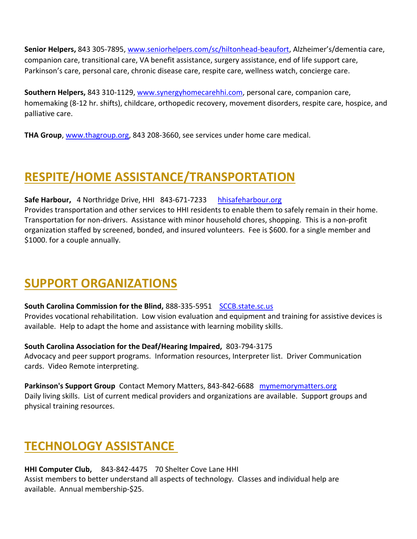**Senior Helpers,** 843 305-7895, [www.seniorhelpers.com/sc/hiltonhead-beaufort](http://www.seniorhelpers.com/sc/hiltonhead-beaufort), Alzheimer's/dementia care, companion care, transitional care, VA benefit assistance, surgery assistance, end of life support care, Parkinson's care, personal care, chronic disease care, respite care, wellness watch, concierge care.

**Southern Helpers,** 843 310-1129, [www.synergyhomecarehhi.com,](http://www.synergyhomecarehhi.com/) personal care, companion care, homemaking (8-12 hr. shifts), childcare, orthopedic recovery, movement disorders, respite care, hospice, and palliative care.

**THA Group**, [www.thagroup.org,](http://www.thagroup.org/) 843 208-3660, see services under home care medical.

# **RESPITE/HOME ASSISTANCE/TRANSPORTATION**

**Safe Harbour,** 4 Northridge Drive, HHI 843-671-7233 [hhisafeharbour.org](http://hhisafeharbour.org/) Provides transportation and other services to HHI residents to enable them to safely remain in their home. Transportation for non-drivers. Assistance with minor household chores, shopping. This is a non-profit organization staffed by screened, bonded, and insured volunteers. Fee is \$600. for a single member and \$1000. for a couple annually.

### **SUPPORT ORGANIZATIONS**

**South Carolina Commission for the Blind, 888-335-5951 [SCCB.state.sc.us](http://sccb.state.sc.us/)** 

Provides vocational rehabilitation. Low vision evaluation and equipment and training for assistive devices is available. Help to adapt the home and assistance with learning mobility skills.

#### **South Carolina Association for the Deaf/Hearing Impaired,** 803-794-3175

Advocacy and peer support programs. Information resources, Interpreter list. Driver Communication cards. Video Remote interpreting.

**Parkinson's Support Group** Contact Memory Matters, 843-842-6688 [mymemorymatters.org](http://mymemorymatters.org/) Daily living skills. List of current medical providers and organizations are available. Support groups and physical training resources.

### **TECHNOLOGY ASSISTANCE**

**HHI Computer Club,** 843-842-4475 70 Shelter Cove Lane HHI Assist members to better understand all aspects of technology. Classes and individual help are available. Annual membership-\$25.